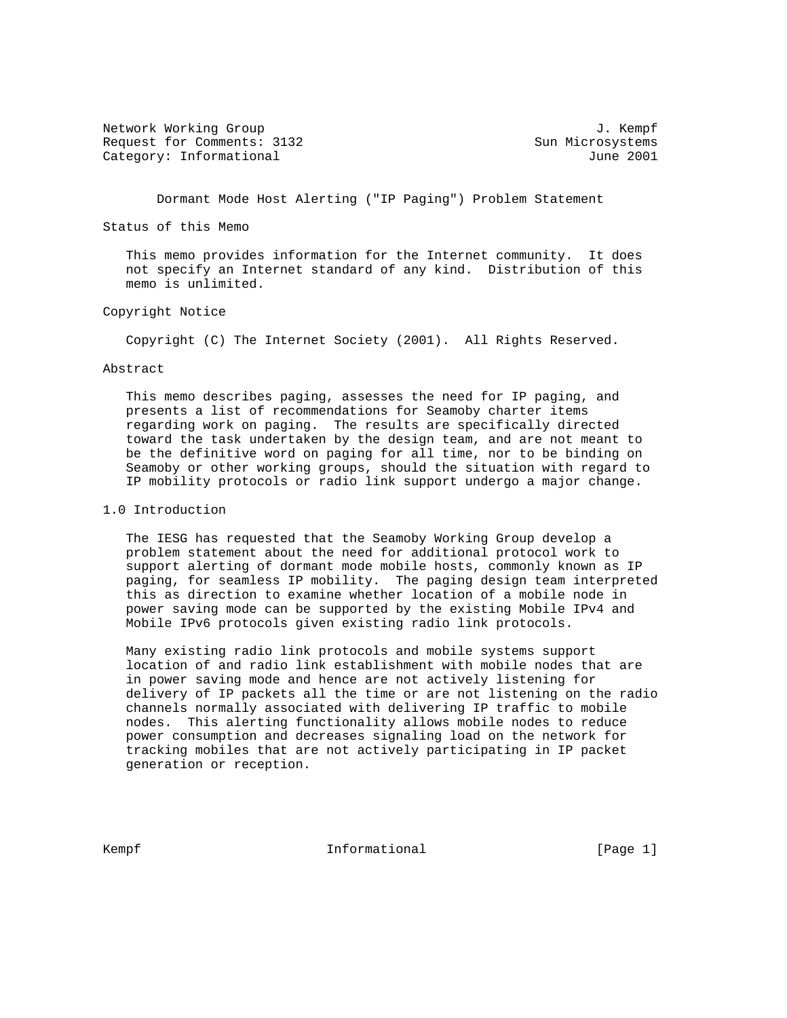Network Working Group 3. The Second Second Second Second Second Second Second Second Second Second Second Second Second Second Second Second Second Second Second Second Second Second Second Second Second Second Second Seco Request for Comments: 3132 Sun Microsystems Category: Informational 3001

Dormant Mode Host Alerting ("IP Paging") Problem Statement

Status of this Memo

 This memo provides information for the Internet community. It does not specify an Internet standard of any kind. Distribution of this memo is unlimited.

# Copyright Notice

Copyright (C) The Internet Society (2001). All Rights Reserved.

#### Abstract

 This memo describes paging, assesses the need for IP paging, and presents a list of recommendations for Seamoby charter items regarding work on paging. The results are specifically directed toward the task undertaken by the design team, and are not meant to be the definitive word on paging for all time, nor to be binding on Seamoby or other working groups, should the situation with regard to IP mobility protocols or radio link support undergo a major change.

# 1.0 Introduction

 The IESG has requested that the Seamoby Working Group develop a problem statement about the need for additional protocol work to support alerting of dormant mode mobile hosts, commonly known as IP paging, for seamless IP mobility. The paging design team interpreted this as direction to examine whether location of a mobile node in power saving mode can be supported by the existing Mobile IPv4 and Mobile IPv6 protocols given existing radio link protocols.

 Many existing radio link protocols and mobile systems support location of and radio link establishment with mobile nodes that are in power saving mode and hence are not actively listening for delivery of IP packets all the time or are not listening on the radio channels normally associated with delivering IP traffic to mobile nodes. This alerting functionality allows mobile nodes to reduce power consumption and decreases signaling load on the network for tracking mobiles that are not actively participating in IP packet generation or reception.

Kempf **Informational Informational** [Page 1]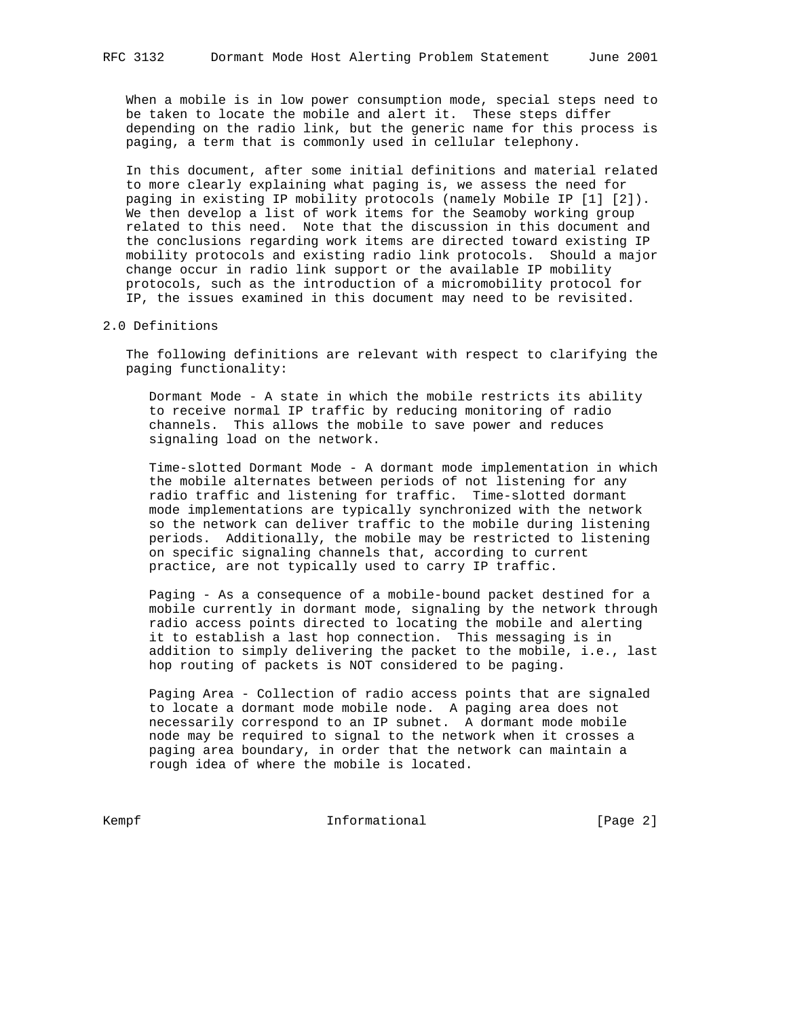When a mobile is in low power consumption mode, special steps need to be taken to locate the mobile and alert it. These steps differ depending on the radio link, but the generic name for this process is paging, a term that is commonly used in cellular telephony.

 In this document, after some initial definitions and material related to more clearly explaining what paging is, we assess the need for paging in existing IP mobility protocols (namely Mobile IP [1] [2]). We then develop a list of work items for the Seamoby working group related to this need. Note that the discussion in this document and the conclusions regarding work items are directed toward existing IP mobility protocols and existing radio link protocols. Should a major change occur in radio link support or the available IP mobility protocols, such as the introduction of a micromobility protocol for IP, the issues examined in this document may need to be revisited.

### 2.0 Definitions

 The following definitions are relevant with respect to clarifying the paging functionality:

 Dormant Mode - A state in which the mobile restricts its ability to receive normal IP traffic by reducing monitoring of radio channels. This allows the mobile to save power and reduces signaling load on the network.

 Time-slotted Dormant Mode - A dormant mode implementation in which the mobile alternates between periods of not listening for any radio traffic and listening for traffic. Time-slotted dormant mode implementations are typically synchronized with the network so the network can deliver traffic to the mobile during listening periods. Additionally, the mobile may be restricted to listening on specific signaling channels that, according to current practice, are not typically used to carry IP traffic.

 Paging - As a consequence of a mobile-bound packet destined for a mobile currently in dormant mode, signaling by the network through radio access points directed to locating the mobile and alerting it to establish a last hop connection. This messaging is in addition to simply delivering the packet to the mobile, i.e., last hop routing of packets is NOT considered to be paging.

 Paging Area - Collection of radio access points that are signaled to locate a dormant mode mobile node. A paging area does not necessarily correspond to an IP subnet. A dormant mode mobile node may be required to signal to the network when it crosses a paging area boundary, in order that the network can maintain a rough idea of where the mobile is located.

Kempf **Informational Informational** [Page 2]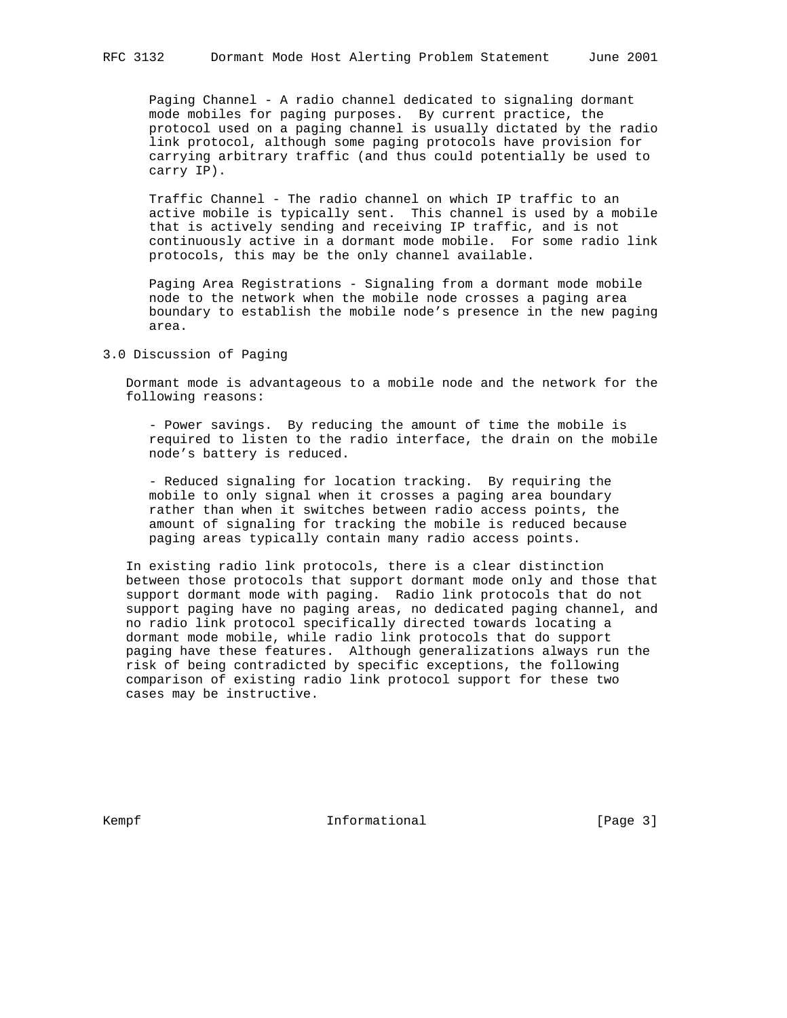Paging Channel - A radio channel dedicated to signaling dormant mode mobiles for paging purposes. By current practice, the protocol used on a paging channel is usually dictated by the radio link protocol, although some paging protocols have provision for carrying arbitrary traffic (and thus could potentially be used to carry IP).

 Traffic Channel - The radio channel on which IP traffic to an active mobile is typically sent. This channel is used by a mobile that is actively sending and receiving IP traffic, and is not continuously active in a dormant mode mobile. For some radio link protocols, this may be the only channel available.

 Paging Area Registrations - Signaling from a dormant mode mobile node to the network when the mobile node crosses a paging area boundary to establish the mobile node's presence in the new paging area.

# 3.0 Discussion of Paging

 Dormant mode is advantageous to a mobile node and the network for the following reasons:

 - Power savings. By reducing the amount of time the mobile is required to listen to the radio interface, the drain on the mobile node's battery is reduced.

 - Reduced signaling for location tracking. By requiring the mobile to only signal when it crosses a paging area boundary rather than when it switches between radio access points, the amount of signaling for tracking the mobile is reduced because paging areas typically contain many radio access points.

 In existing radio link protocols, there is a clear distinction between those protocols that support dormant mode only and those that support dormant mode with paging. Radio link protocols that do not support paging have no paging areas, no dedicated paging channel, and no radio link protocol specifically directed towards locating a dormant mode mobile, while radio link protocols that do support paging have these features. Although generalizations always run the risk of being contradicted by specific exceptions, the following comparison of existing radio link protocol support for these two cases may be instructive.

Kempf **Informational Informational** [Page 3]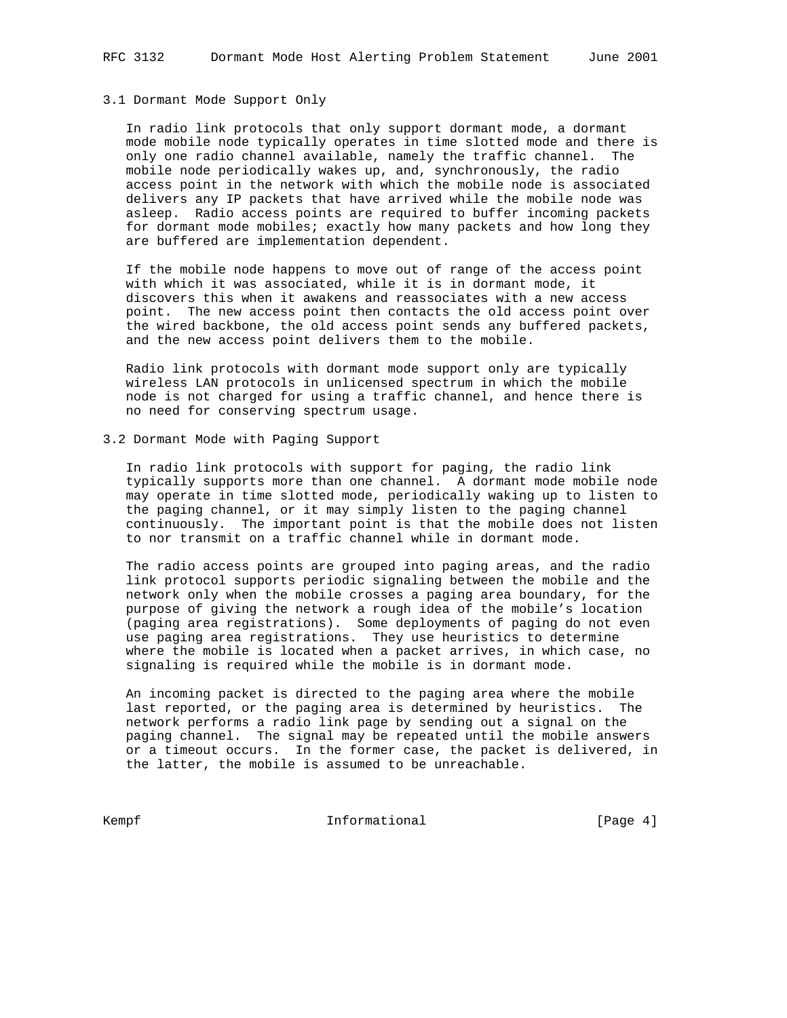#### 3.1 Dormant Mode Support Only

 In radio link protocols that only support dormant mode, a dormant mode mobile node typically operates in time slotted mode and there is only one radio channel available, namely the traffic channel. The mobile node periodically wakes up, and, synchronously, the radio access point in the network with which the mobile node is associated delivers any IP packets that have arrived while the mobile node was asleep. Radio access points are required to buffer incoming packets for dormant mode mobiles; exactly how many packets and how long they are buffered are implementation dependent.

 If the mobile node happens to move out of range of the access point with which it was associated, while it is in dormant mode, it discovers this when it awakens and reassociates with a new access point. The new access point then contacts the old access point over the wired backbone, the old access point sends any buffered packets, and the new access point delivers them to the mobile.

 Radio link protocols with dormant mode support only are typically wireless LAN protocols in unlicensed spectrum in which the mobile node is not charged for using a traffic channel, and hence there is no need for conserving spectrum usage.

# 3.2 Dormant Mode with Paging Support

 In radio link protocols with support for paging, the radio link typically supports more than one channel. A dormant mode mobile node may operate in time slotted mode, periodically waking up to listen to the paging channel, or it may simply listen to the paging channel continuously. The important point is that the mobile does not listen to nor transmit on a traffic channel while in dormant mode.

 The radio access points are grouped into paging areas, and the radio link protocol supports periodic signaling between the mobile and the network only when the mobile crosses a paging area boundary, for the purpose of giving the network a rough idea of the mobile's location (paging area registrations). Some deployments of paging do not even use paging area registrations. They use heuristics to determine where the mobile is located when a packet arrives, in which case, no signaling is required while the mobile is in dormant mode.

 An incoming packet is directed to the paging area where the mobile last reported, or the paging area is determined by heuristics. The network performs a radio link page by sending out a signal on the paging channel. The signal may be repeated until the mobile answers or a timeout occurs. In the former case, the packet is delivered, in the latter, the mobile is assumed to be unreachable.

Kempf **Informational Informational** [Page 4]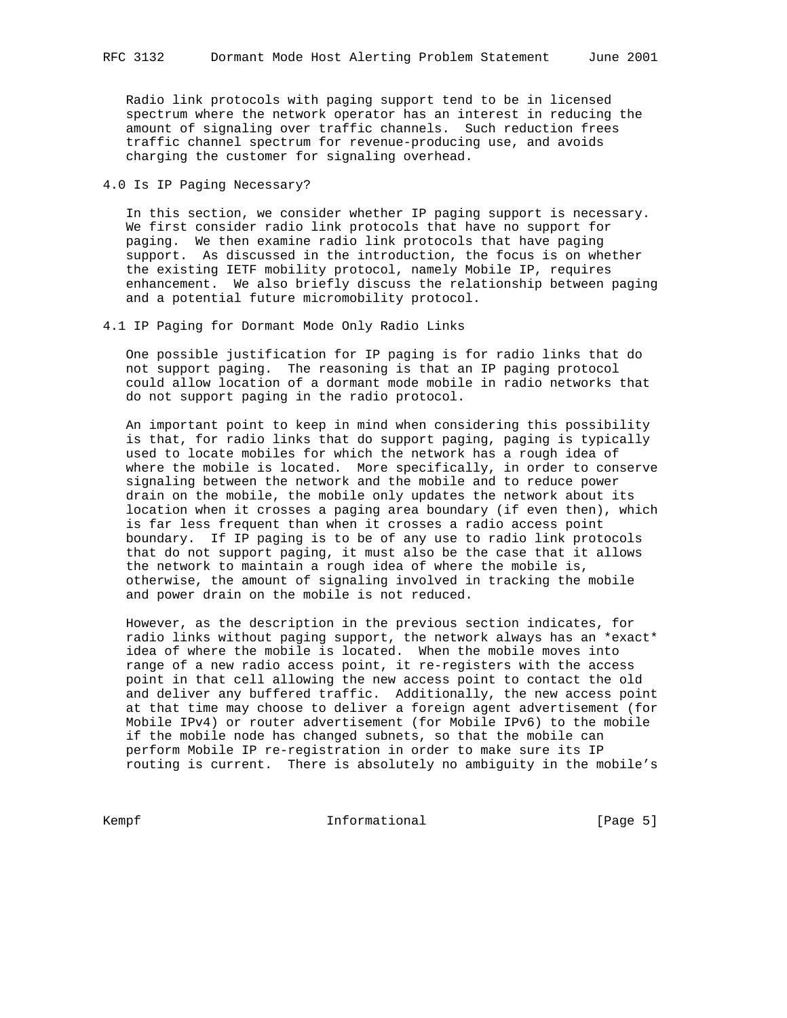Radio link protocols with paging support tend to be in licensed spectrum where the network operator has an interest in reducing the amount of signaling over traffic channels. Such reduction frees traffic channel spectrum for revenue-producing use, and avoids charging the customer for signaling overhead.

4.0 Is IP Paging Necessary?

 In this section, we consider whether IP paging support is necessary. We first consider radio link protocols that have no support for paging. We then examine radio link protocols that have paging support. As discussed in the introduction, the focus is on whether the existing IETF mobility protocol, namely Mobile IP, requires enhancement. We also briefly discuss the relationship between paging and a potential future micromobility protocol.

4.1 IP Paging for Dormant Mode Only Radio Links

 One possible justification for IP paging is for radio links that do not support paging. The reasoning is that an IP paging protocol could allow location of a dormant mode mobile in radio networks that do not support paging in the radio protocol.

 An important point to keep in mind when considering this possibility is that, for radio links that do support paging, paging is typically used to locate mobiles for which the network has a rough idea of where the mobile is located. More specifically, in order to conserve signaling between the network and the mobile and to reduce power drain on the mobile, the mobile only updates the network about its location when it crosses a paging area boundary (if even then), which is far less frequent than when it crosses a radio access point boundary. If IP paging is to be of any use to radio link protocols that do not support paging, it must also be the case that it allows the network to maintain a rough idea of where the mobile is, otherwise, the amount of signaling involved in tracking the mobile and power drain on the mobile is not reduced.

 However, as the description in the previous section indicates, for radio links without paging support, the network always has an \*exact\* idea of where the mobile is located. When the mobile moves into range of a new radio access point, it re-registers with the access point in that cell allowing the new access point to contact the old and deliver any buffered traffic. Additionally, the new access point at that time may choose to deliver a foreign agent advertisement (for Mobile IPv4) or router advertisement (for Mobile IPv6) to the mobile if the mobile node has changed subnets, so that the mobile can perform Mobile IP re-registration in order to make sure its IP routing is current. There is absolutely no ambiguity in the mobile's

Kempf **Informational Informational** [Page 5]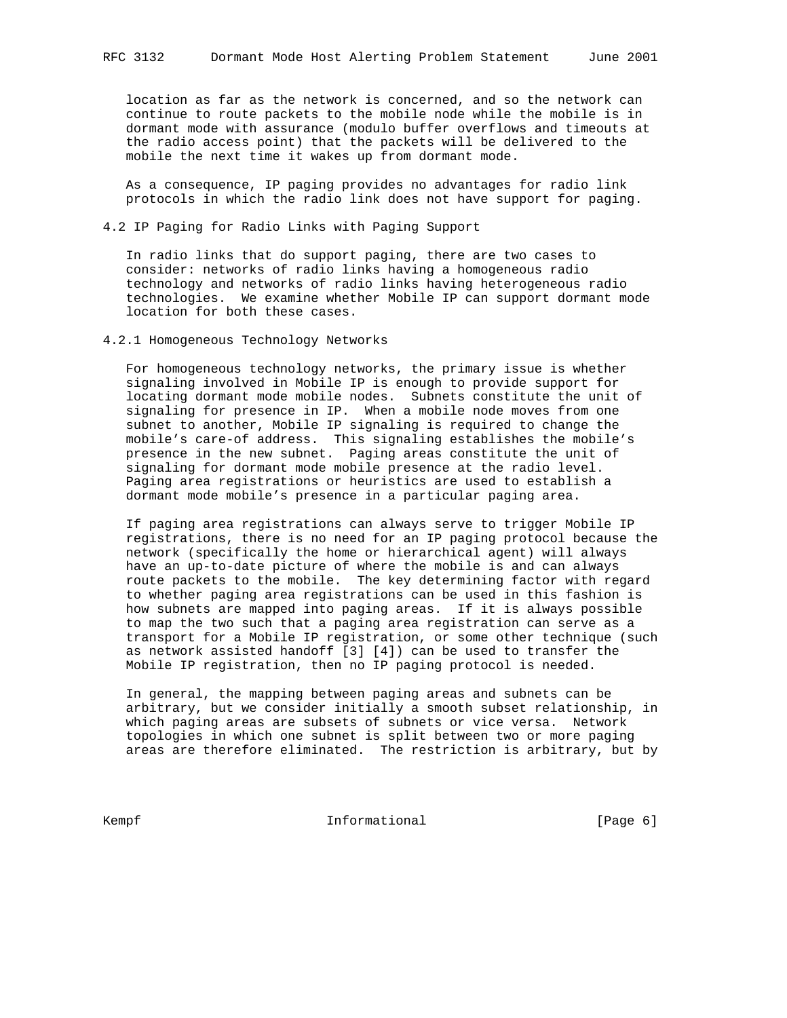location as far as the network is concerned, and so the network can continue to route packets to the mobile node while the mobile is in dormant mode with assurance (modulo buffer overflows and timeouts at the radio access point) that the packets will be delivered to the mobile the next time it wakes up from dormant mode.

 As a consequence, IP paging provides no advantages for radio link protocols in which the radio link does not have support for paging.

### 4.2 IP Paging for Radio Links with Paging Support

 In radio links that do support paging, there are two cases to consider: networks of radio links having a homogeneous radio technology and networks of radio links having heterogeneous radio technologies. We examine whether Mobile IP can support dormant mode location for both these cases.

#### 4.2.1 Homogeneous Technology Networks

 For homogeneous technology networks, the primary issue is whether signaling involved in Mobile IP is enough to provide support for locating dormant mode mobile nodes. Subnets constitute the unit of signaling for presence in IP. When a mobile node moves from one subnet to another, Mobile IP signaling is required to change the mobile's care-of address. This signaling establishes the mobile's presence in the new subnet. Paging areas constitute the unit of signaling for dormant mode mobile presence at the radio level. Paging area registrations or heuristics are used to establish a dormant mode mobile's presence in a particular paging area.

 If paging area registrations can always serve to trigger Mobile IP registrations, there is no need for an IP paging protocol because the network (specifically the home or hierarchical agent) will always have an up-to-date picture of where the mobile is and can always route packets to the mobile. The key determining factor with regard to whether paging area registrations can be used in this fashion is how subnets are mapped into paging areas. If it is always possible to map the two such that a paging area registration can serve as a transport for a Mobile IP registration, or some other technique (such as network assisted handoff [3] [4]) can be used to transfer the Mobile IP registration, then no IP paging protocol is needed.

 In general, the mapping between paging areas and subnets can be arbitrary, but we consider initially a smooth subset relationship, in which paging areas are subsets of subnets or vice versa. Network topologies in which one subnet is split between two or more paging areas are therefore eliminated. The restriction is arbitrary, but by

Kempf **Informational Informational** [Page 6]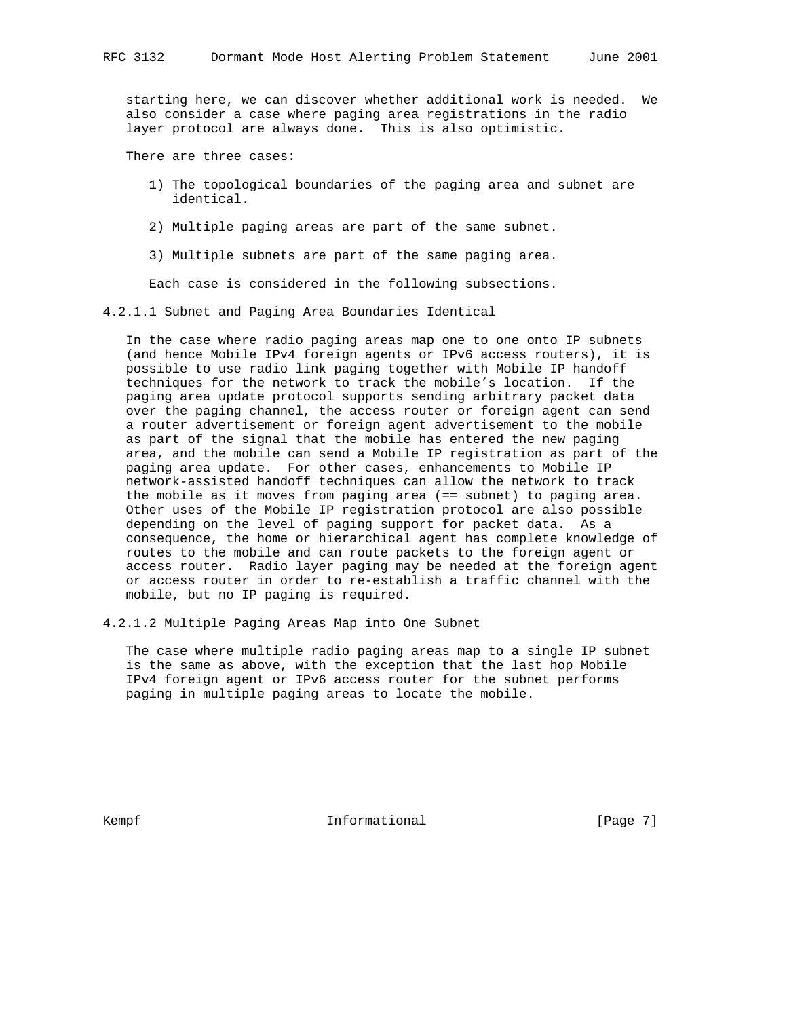starting here, we can discover whether additional work is needed. We also consider a case where paging area registrations in the radio layer protocol are always done. This is also optimistic.

There are three cases:

- 1) The topological boundaries of the paging area and subnet are identical.
- 2) Multiple paging areas are part of the same subnet.
- 3) Multiple subnets are part of the same paging area.

Each case is considered in the following subsections.

4.2.1.1 Subnet and Paging Area Boundaries Identical

 In the case where radio paging areas map one to one onto IP subnets (and hence Mobile IPv4 foreign agents or IPv6 access routers), it is possible to use radio link paging together with Mobile IP handoff techniques for the network to track the mobile's location. If the paging area update protocol supports sending arbitrary packet data over the paging channel, the access router or foreign agent can send a router advertisement or foreign agent advertisement to the mobile as part of the signal that the mobile has entered the new paging area, and the mobile can send a Mobile IP registration as part of the paging area update. For other cases, enhancements to Mobile IP network-assisted handoff techniques can allow the network to track the mobile as it moves from paging area (== subnet) to paging area. Other uses of the Mobile IP registration protocol are also possible depending on the level of paging support for packet data. As a consequence, the home or hierarchical agent has complete knowledge of routes to the mobile and can route packets to the foreign agent or access router. Radio layer paging may be needed at the foreign agent or access router in order to re-establish a traffic channel with the mobile, but no IP paging is required.

4.2.1.2 Multiple Paging Areas Map into One Subnet

 The case where multiple radio paging areas map to a single IP subnet is the same as above, with the exception that the last hop Mobile IPv4 foreign agent or IPv6 access router for the subnet performs paging in multiple paging areas to locate the mobile.

Kempf **Informational Informational** [Page 7]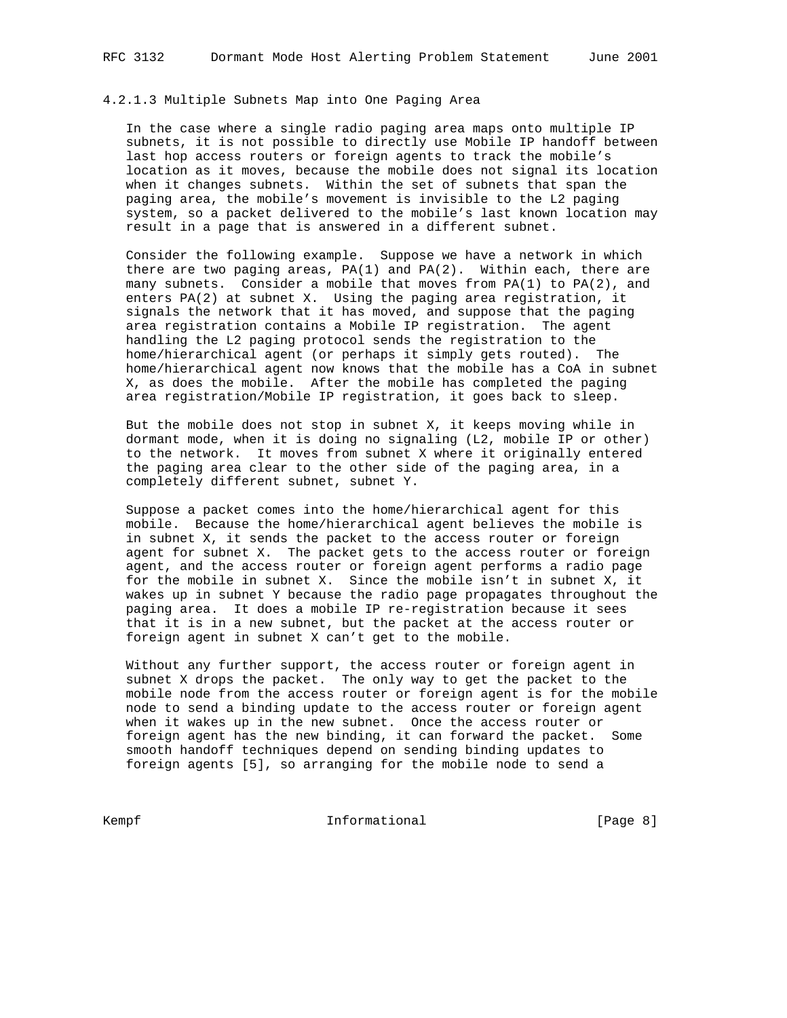#### 4.2.1.3 Multiple Subnets Map into One Paging Area

 In the case where a single radio paging area maps onto multiple IP subnets, it is not possible to directly use Mobile IP handoff between last hop access routers or foreign agents to track the mobile's location as it moves, because the mobile does not signal its location when it changes subnets. Within the set of subnets that span the paging area, the mobile's movement is invisible to the L2 paging system, so a packet delivered to the mobile's last known location may result in a page that is answered in a different subnet.

 Consider the following example. Suppose we have a network in which there are two paging areas, PA(1) and PA(2). Within each, there are many subnets. Consider a mobile that moves from  $PA(1)$  to  $PA(2)$ , and enters PA(2) at subnet X. Using the paging area registration, it signals the network that it has moved, and suppose that the paging area registration contains a Mobile IP registration. The agent handling the L2 paging protocol sends the registration to the home/hierarchical agent (or perhaps it simply gets routed). The home/hierarchical agent now knows that the mobile has a CoA in subnet X, as does the mobile. After the mobile has completed the paging area registration/Mobile IP registration, it goes back to sleep.

 But the mobile does not stop in subnet X, it keeps moving while in dormant mode, when it is doing no signaling (L2, mobile IP or other) to the network. It moves from subnet X where it originally entered the paging area clear to the other side of the paging area, in a completely different subnet, subnet Y.

 Suppose a packet comes into the home/hierarchical agent for this mobile. Because the home/hierarchical agent believes the mobile is in subnet X, it sends the packet to the access router or foreign agent for subnet X. The packet gets to the access router or foreign agent, and the access router or foreign agent performs a radio page for the mobile in subnet X. Since the mobile isn't in subnet X, it wakes up in subnet Y because the radio page propagates throughout the paging area. It does a mobile IP re-registration because it sees that it is in a new subnet, but the packet at the access router or foreign agent in subnet X can't get to the mobile.

 Without any further support, the access router or foreign agent in subnet X drops the packet. The only way to get the packet to the mobile node from the access router or foreign agent is for the mobile node to send a binding update to the access router or foreign agent when it wakes up in the new subnet. Once the access router or foreign agent has the new binding, it can forward the packet. Some smooth handoff techniques depend on sending binding updates to foreign agents [5], so arranging for the mobile node to send a

Kempf **Informational Informational** [Page 8]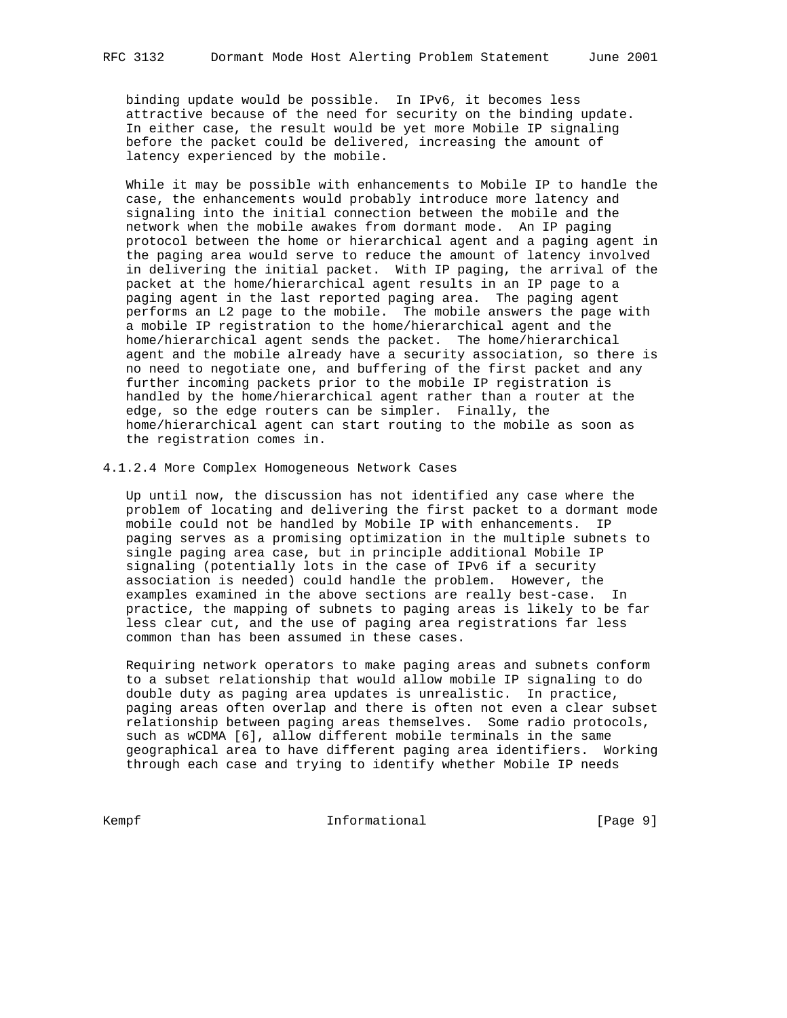binding update would be possible. In IPv6, it becomes less attractive because of the need for security on the binding update. In either case, the result would be yet more Mobile IP signaling before the packet could be delivered, increasing the amount of latency experienced by the mobile.

 While it may be possible with enhancements to Mobile IP to handle the case, the enhancements would probably introduce more latency and signaling into the initial connection between the mobile and the network when the mobile awakes from dormant mode. An IP paging protocol between the home or hierarchical agent and a paging agent in the paging area would serve to reduce the amount of latency involved in delivering the initial packet. With IP paging, the arrival of the packet at the home/hierarchical agent results in an IP page to a paging agent in the last reported paging area. The paging agent performs an L2 page to the mobile. The mobile answers the page with a mobile IP registration to the home/hierarchical agent and the home/hierarchical agent sends the packet. The home/hierarchical agent and the mobile already have a security association, so there is no need to negotiate one, and buffering of the first packet and any further incoming packets prior to the mobile IP registration is handled by the home/hierarchical agent rather than a router at the edge, so the edge routers can be simpler. Finally, the home/hierarchical agent can start routing to the mobile as soon as the registration comes in.

4.1.2.4 More Complex Homogeneous Network Cases

 Up until now, the discussion has not identified any case where the problem of locating and delivering the first packet to a dormant mode mobile could not be handled by Mobile IP with enhancements. IP paging serves as a promising optimization in the multiple subnets to single paging area case, but in principle additional Mobile IP signaling (potentially lots in the case of IPv6 if a security association is needed) could handle the problem. However, the examples examined in the above sections are really best-case. In practice, the mapping of subnets to paging areas is likely to be far less clear cut, and the use of paging area registrations far less common than has been assumed in these cases.

 Requiring network operators to make paging areas and subnets conform to a subset relationship that would allow mobile IP signaling to do double duty as paging area updates is unrealistic. In practice, paging areas often overlap and there is often not even a clear subset relationship between paging areas themselves. Some radio protocols, such as wCDMA [6], allow different mobile terminals in the same geographical area to have different paging area identifiers. Working through each case and trying to identify whether Mobile IP needs

Kempf **Informational Informational** [Page 9]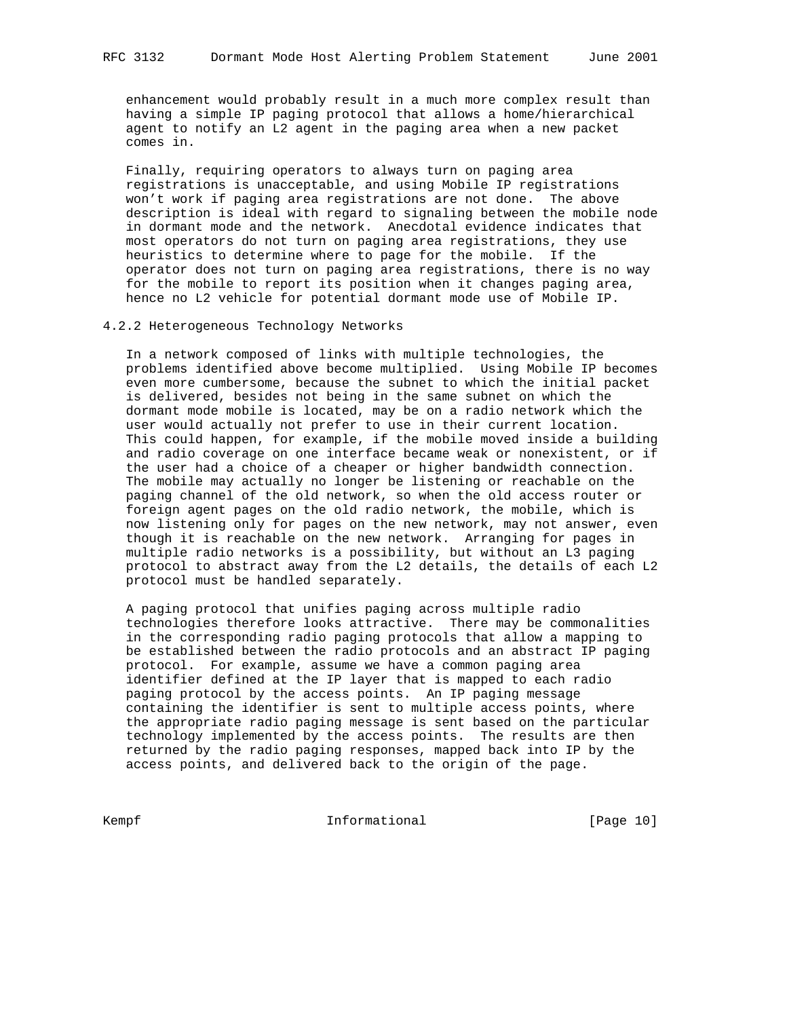enhancement would probably result in a much more complex result than having a simple IP paging protocol that allows a home/hierarchical agent to notify an L2 agent in the paging area when a new packet comes in.

 Finally, requiring operators to always turn on paging area registrations is unacceptable, and using Mobile IP registrations won't work if paging area registrations are not done. The above description is ideal with regard to signaling between the mobile node in dormant mode and the network. Anecdotal evidence indicates that most operators do not turn on paging area registrations, they use heuristics to determine where to page for the mobile. If the operator does not turn on paging area registrations, there is no way for the mobile to report its position when it changes paging area, hence no L2 vehicle for potential dormant mode use of Mobile IP.

4.2.2 Heterogeneous Technology Networks

 In a network composed of links with multiple technologies, the problems identified above become multiplied. Using Mobile IP becomes even more cumbersome, because the subnet to which the initial packet is delivered, besides not being in the same subnet on which the dormant mode mobile is located, may be on a radio network which the user would actually not prefer to use in their current location. This could happen, for example, if the mobile moved inside a building and radio coverage on one interface became weak or nonexistent, or if the user had a choice of a cheaper or higher bandwidth connection. The mobile may actually no longer be listening or reachable on the paging channel of the old network, so when the old access router or foreign agent pages on the old radio network, the mobile, which is now listening only for pages on the new network, may not answer, even though it is reachable on the new network. Arranging for pages in multiple radio networks is a possibility, but without an L3 paging protocol to abstract away from the L2 details, the details of each L2 protocol must be handled separately.

 A paging protocol that unifies paging across multiple radio technologies therefore looks attractive. There may be commonalities in the corresponding radio paging protocols that allow a mapping to be established between the radio protocols and an abstract IP paging protocol. For example, assume we have a common paging area identifier defined at the IP layer that is mapped to each radio paging protocol by the access points. An IP paging message containing the identifier is sent to multiple access points, where the appropriate radio paging message is sent based on the particular technology implemented by the access points. The results are then returned by the radio paging responses, mapped back into IP by the access points, and delivered back to the origin of the page.

Kempf Informational [Page 10]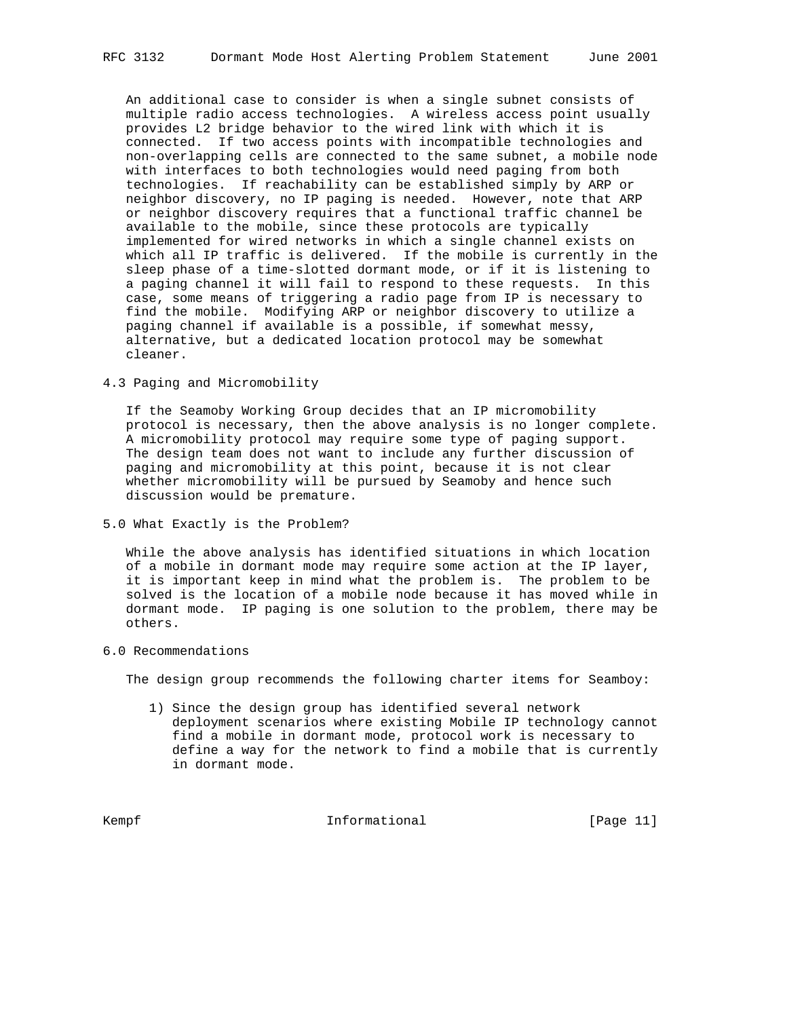An additional case to consider is when a single subnet consists of multiple radio access technologies. A wireless access point usually provides L2 bridge behavior to the wired link with which it is connected. If two access points with incompatible technologies and non-overlapping cells are connected to the same subnet, a mobile node with interfaces to both technologies would need paging from both technologies. If reachability can be established simply by ARP or neighbor discovery, no IP paging is needed. However, note that ARP or neighbor discovery requires that a functional traffic channel be available to the mobile, since these protocols are typically implemented for wired networks in which a single channel exists on which all IP traffic is delivered. If the mobile is currently in the sleep phase of a time-slotted dormant mode, or if it is listening to a paging channel it will fail to respond to these requests. In this case, some means of triggering a radio page from IP is necessary to find the mobile. Modifying ARP or neighbor discovery to utilize a paging channel if available is a possible, if somewhat messy, alternative, but a dedicated location protocol may be somewhat cleaner.

4.3 Paging and Micromobility

 If the Seamoby Working Group decides that an IP micromobility protocol is necessary, then the above analysis is no longer complete. A micromobility protocol may require some type of paging support. The design team does not want to include any further discussion of paging and micromobility at this point, because it is not clear whether micromobility will be pursued by Seamoby and hence such discussion would be premature.

5.0 What Exactly is the Problem?

 While the above analysis has identified situations in which location of a mobile in dormant mode may require some action at the IP layer, it is important keep in mind what the problem is. The problem to be solved is the location of a mobile node because it has moved while in dormant mode. IP paging is one solution to the problem, there may be others.

6.0 Recommendations

The design group recommends the following charter items for Seamboy:

 1) Since the design group has identified several network deployment scenarios where existing Mobile IP technology cannot find a mobile in dormant mode, protocol work is necessary to define a way for the network to find a mobile that is currently in dormant mode.

Kempf **Informational Informational** [Page 11]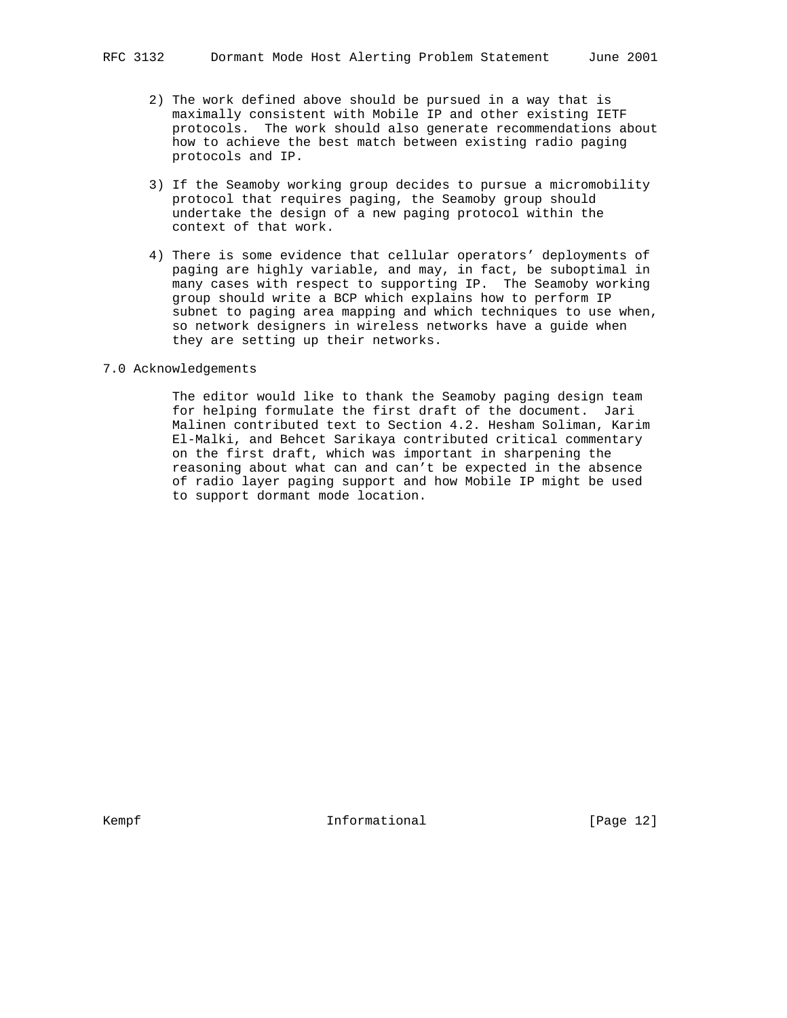- 2) The work defined above should be pursued in a way that is maximally consistent with Mobile IP and other existing IETF protocols. The work should also generate recommendations about how to achieve the best match between existing radio paging protocols and IP.
- 3) If the Seamoby working group decides to pursue a micromobility protocol that requires paging, the Seamoby group should undertake the design of a new paging protocol within the context of that work.
- 4) There is some evidence that cellular operators' deployments of paging are highly variable, and may, in fact, be suboptimal in many cases with respect to supporting IP. The Seamoby working group should write a BCP which explains how to perform IP subnet to paging area mapping and which techniques to use when, so network designers in wireless networks have a guide when they are setting up their networks.

# 7.0 Acknowledgements

 The editor would like to thank the Seamoby paging design team for helping formulate the first draft of the document. Jari Malinen contributed text to Section 4.2. Hesham Soliman, Karim El-Malki, and Behcet Sarikaya contributed critical commentary on the first draft, which was important in sharpening the reasoning about what can and can't be expected in the absence of radio layer paging support and how Mobile IP might be used to support dormant mode location.

Kempf **Informational Informational** [Page 12]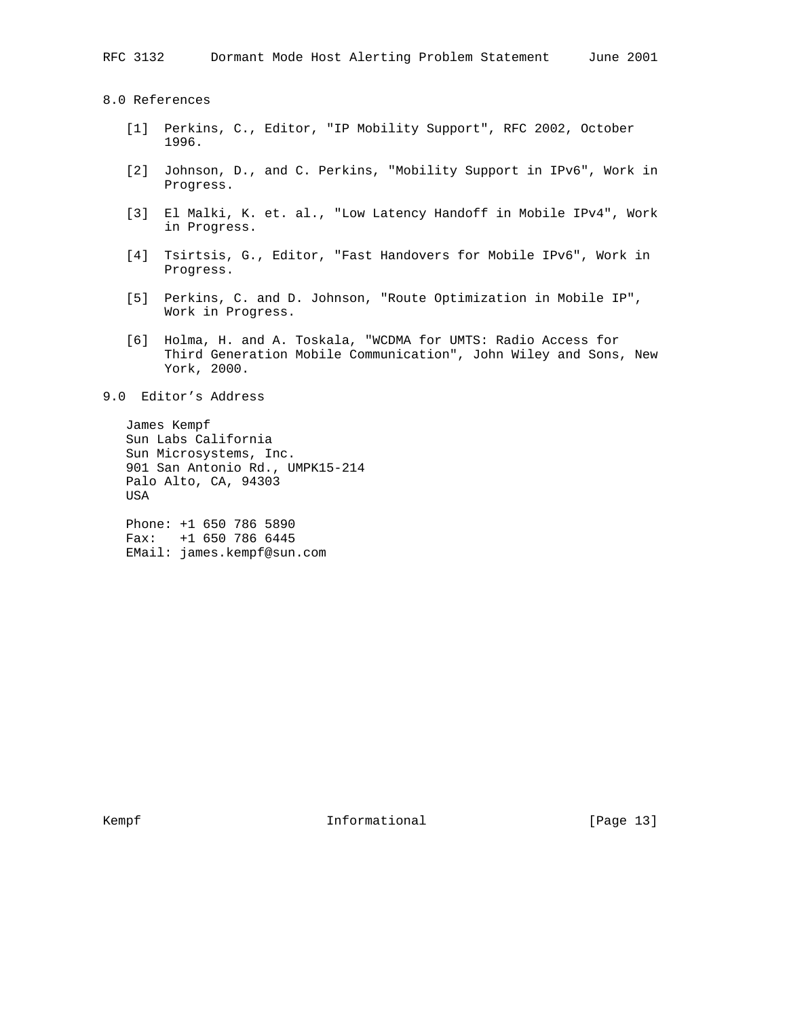8.0 References

- [1] Perkins, C., Editor, "IP Mobility Support", RFC 2002, October 1996.
- [2] Johnson, D., and C. Perkins, "Mobility Support in IPv6", Work in Progress.
- [3] El Malki, K. et. al., "Low Latency Handoff in Mobile IPv4", Work in Progress.
- [4] Tsirtsis, G., Editor, "Fast Handovers for Mobile IPv6", Work in Progress.
- [5] Perkins, C. and D. Johnson, "Route Optimization in Mobile IP", Work in Progress.
- [6] Holma, H. and A. Toskala, "WCDMA for UMTS: Radio Access for Third Generation Mobile Communication", John Wiley and Sons, New York, 2000.

### 9.0 Editor's Address

 James Kempf Sun Labs California Sun Microsystems, Inc. 901 San Antonio Rd., UMPK15-214 Palo Alto, CA, 94303 USA

 Phone: +1 650 786 5890 Fax: +1 650 786 6445 EMail: james.kempf@sun.com

Kempf **Informational Informational** [Page 13]